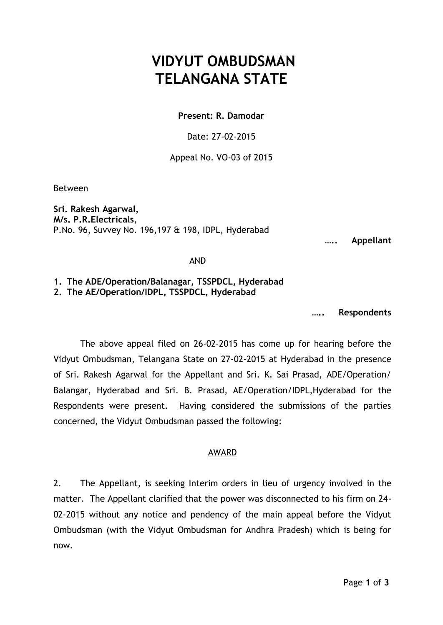## **VIDYUT OMBUDSMAN TELANGANA STATE**

**Present: R. Damodar** 

Date: 27-02-2015

Appeal No. VO-03 of 2015

Between

**Sri. Rakesh Agarwal, M/s. P.R.Electricals**, P.No. 96, Suvvey No. 196,197 & 198, IDPL, Hyderabad

**….. Appellant**

AND

**1. The ADE/Operation/Balanagar, TSSPDCL, Hyderabad 2. The AE/Operation/IDPL, TSSPDCL, Hyderabad**

**….. Respondents**

The above appeal filed on 26-02-2015 has come up for hearing before the Vidyut Ombudsman, Telangana State on 27-02-2015 at Hyderabad in the presence of Sri. Rakesh Agarwal for the Appellant and Sri. K. Sai Prasad, ADE/Operation/ Balangar, Hyderabad and Sri. B. Prasad, AE/Operation/IDPL,Hyderabad for the Respondents were present. Having considered the submissions of the parties concerned, the Vidyut Ombudsman passed the following:

## AWARD

2. The Appellant, is seeking Interim orders in lieu of urgency involved in the matter. The Appellant clarified that the power was disconnected to his firm on 24- 02-2015 without any notice and pendency of the main appeal before the Vidyut Ombudsman (with the Vidyut Ombudsman for Andhra Pradesh) which is being for now.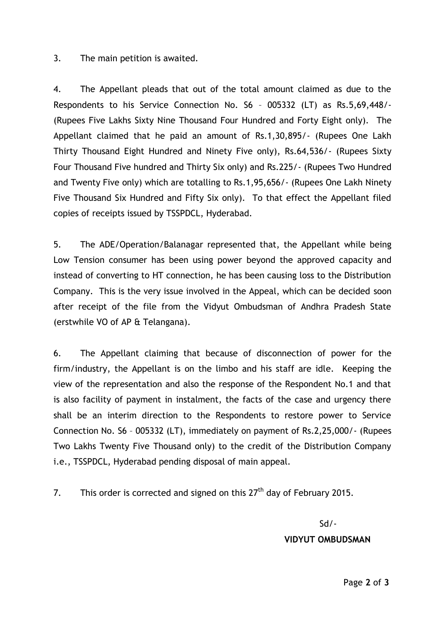3. The main petition is awaited.

4. The Appellant pleads that out of the total amount claimed as due to the Respondents to his Service Connection No. S6 – 005332 (LT) as Rs.5,69,448/- (Rupees Five Lakhs Sixty Nine Thousand Four Hundred and Forty Eight only). The Appellant claimed that he paid an amount of Rs.1,30,895/- (Rupees One Lakh Thirty Thousand Eight Hundred and Ninety Five only), Rs.64,536/- (Rupees Sixty Four Thousand Five hundred and Thirty Six only) and Rs.225/- (Rupees Two Hundred and Twenty Five only) which are totalling to Rs.1,95,656/- (Rupees One Lakh Ninety Five Thousand Six Hundred and Fifty Six only). To that effect the Appellant filed copies of receipts issued by TSSPDCL, Hyderabad.

5. The ADE/Operation/Balanagar represented that, the Appellant while being Low Tension consumer has been using power beyond the approved capacity and instead of converting to HT connection, he has been causing loss to the Distribution Company. This is the very issue involved in the Appeal, which can be decided soon after receipt of the file from the Vidyut Ombudsman of Andhra Pradesh State (erstwhile VO of AP & Telangana).

6. The Appellant claiming that because of disconnection of power for the firm/industry, the Appellant is on the limbo and his staff are idle. Keeping the view of the representation and also the response of the Respondent No.1 and that is also facility of payment in instalment, the facts of the case and urgency there shall be an interim direction to the Respondents to restore power to Service Connection No. S6 – 005332 (LT), immediately on payment of Rs.2,25,000/- (Rupees Two Lakhs Twenty Five Thousand only) to the credit of the Distribution Company i.e., TSSPDCL, Hyderabad pending disposal of main appeal.

7. This order is corrected and signed on this  $27<sup>th</sup>$  day of February 2015.

Sd/-

## **VIDYUT OMBUDSMAN**